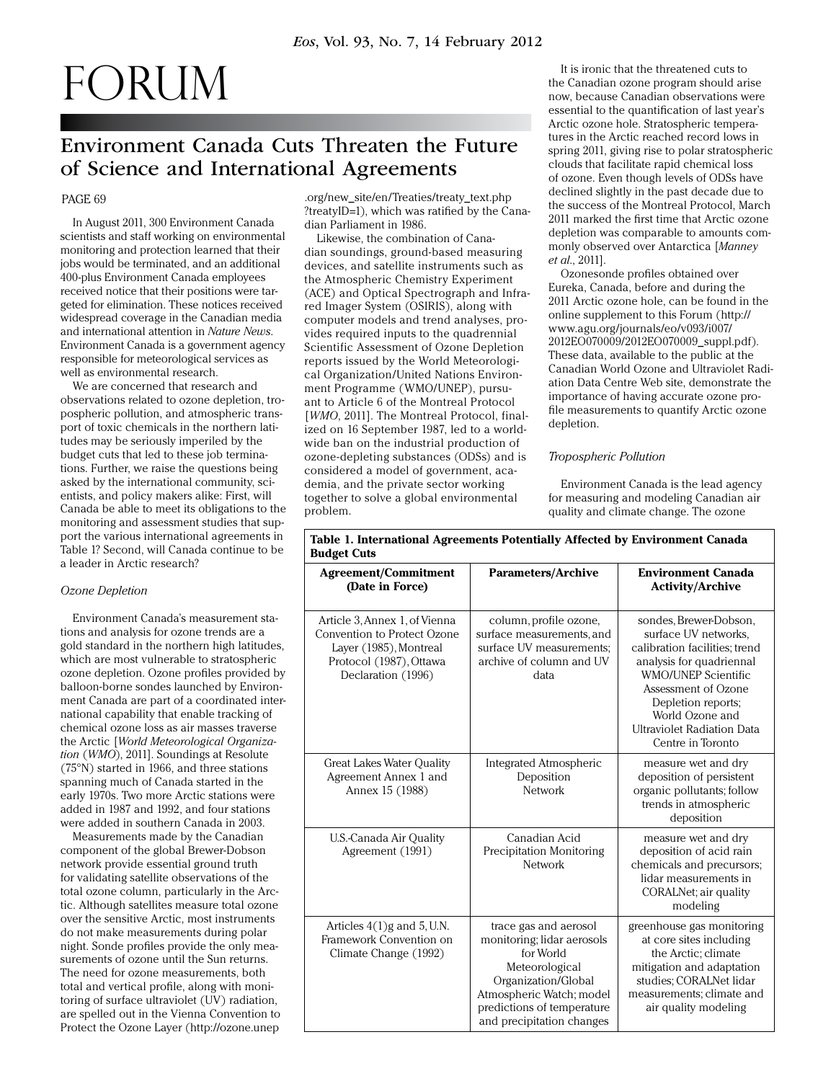# FORUM

# Environment Canada Cuts Threaten the Future of Science and International Agreements

## PAGE 69

In August 2011, 300 Environment Canada scientists and staff working on environmental monitoring and protection learned that their jobs would be terminated, and an additional 400-plus Environment Canada employees received notice that their positions were targeted for elimination. These notices received widespread coverage in the Canadian media and international attention in *Nature News*. Environment Canada is a government agency responsible for meteorological services as well as environmental research.

We are concerned that research and observations related to ozone depletion, tropospheric pollution, and atmospheric transport of toxic chemicals in the northern latitudes may be seriously imperiled by the budget cuts that led to these job terminations. Further, we raise the questions being asked by the international community, scientists, and policy makers alike: First, will Canada be able to meet its obligations to the monitoring and assessment studies that support the various international agreements in Table 1? Second, will Canada continue to be a leader in Arctic research?

#### *Ozone Depletion*

Environment Canada's measurement stations and analysis for ozone trends are a gold standard in the northern high latitudes, which are most vulnerable to stratospheric ozone depletion. Ozone profiles provided by balloon-borne sondes launched by Environment Canada are part of a coordinated international capability that enable tracking of chemical ozone loss as air masses traverse the Arctic [*World Meteorological Organization* (*WMO*), 2011]. Soundings at Resolute (75°N) started in 1966, and three stations spanning much of Canada started in the early 1970s. Two more Arctic stations were added in 1987 and 1992, and four stations were added in southern Canada in 2003.

Measurements made by the Canadian component of the global Brewer-Dobson network provide essential ground truth for validating satellite observations of the total ozone column, particularly in the Arctic. Although satellites measure total ozone over the sensitive Arctic, most instruments do not make measurements during polar night. Sonde profiles provide the only measurements of ozone until the Sun returns. The need for ozone measurements, both total and vertical profile, along with monitoring of surface ultraviolet (UV) radiation, are spelled out in the Vienna Convention to Protect the Ozone Layer (http://ozone.unep

.org/new\_site/en/Treaties/treaty\_text.php ?treatyID=1), which was ratified by the Canadian Parliament in 1986.

Likewise, the combination of Canadian soundings, ground-based measuring devices, and satellite instruments such as the Atmospheric Chemistry Experiment (ACE) and Optical Spectrograph and Infrared Imager System (OSIRIS), along with computer models and trend analyses, provides required inputs to the quadrennial Scientific Assessment of Ozone Depletion reports issued by the World Meteorological Organization/United Nations Environment Programme (WMO/UNEP), pursuant to Article 6 of the Montreal Protocol [*WMO*, 2011]. The Montreal Protocol, finalized on 16 September 1987, led to a worldwide ban on the industrial production of ozone-depleting substances (ODSs) and is considered a model of government, academia, and the private sector working together to solve a global environmental problem.

It is ironic that the threatened cuts to the Canadian ozone program should arise now, because Canadian observations were essential to the quantification of last year's Arctic ozone hole. Stratospheric temperatures in the Arctic reached record lows in spring 2011, giving rise to polar stratospheric clouds that facilitate rapid chemical loss of ozone. Even though levels of ODSs have declined slightly in the past decade due to the success of the Montreal Protocol, March 2011 marked the first time that Arctic ozone depletion was comparable to amounts commonly observed over Antarctica [*Manney et al*., 2011].

Ozonesonde profiles obtained over Eureka, Canada, before and during the 2011 Arctic ozone hole, can be found in the online supplement to this Forum (http:// www.agu.org/journals/eo/v093/i007/ [2012EO070009/2012EO070009\\_suppl.pdf\).](http://www.agu.org/journals/eo/v093/i007/2012EO070009/2012EO070009_suppl.pdf)  These data, available to the public at the Canadian World Ozone and Ultraviolet Radiation Data Centre Web site, demonstrate the importance of having accurate ozone profile measurements to quantify Arctic ozone depletion.

#### *Tropospheric Pollution*

Environment Canada is the lead agency for measuring and modeling Canadian air quality and climate change. The ozone

| <b>Agreement/Commitment</b><br>(Date in Force)                                                                                          | <b>Parameters/Archive</b>                                                                                                                                                                        | <b>Environment Canada</b><br><b>Activity/Archive</b>                                                                                                                                                                                                         |
|-----------------------------------------------------------------------------------------------------------------------------------------|--------------------------------------------------------------------------------------------------------------------------------------------------------------------------------------------------|--------------------------------------------------------------------------------------------------------------------------------------------------------------------------------------------------------------------------------------------------------------|
| Article 3, Annex 1, of Vienna<br>Convention to Protect Ozone<br>Layer (1985), Montreal<br>Protocol (1987), Ottawa<br>Declaration (1996) | column, profile ozone,<br>surface measurements, and<br>surface UV measurements;<br>archive of column and UV<br>data                                                                              | sondes, Brewer-Dobson,<br>surface UV networks.<br>calibration facilities; trend<br>analysis for quadriennal<br>WMO/UNEP Scientific<br>Assessment of Ozone<br>Depletion reports;<br>World Ozone and<br><b>Ultraviolet Radiation Data</b><br>Centre in Toronto |
| Great Lakes Water Quality<br>Agreement Annex 1 and<br>Annex 15 (1988)                                                                   | Integrated Atmospheric<br>Deposition<br>Network                                                                                                                                                  | measure wet and dry<br>deposition of persistent<br>organic pollutants; follow<br>trends in atmospheric<br>deposition                                                                                                                                         |
| U.S.-Canada Air Quality<br>Agreement (1991)                                                                                             | Canadian Acid<br>Precipitation Monitoring<br>Network                                                                                                                                             | measure wet and dry<br>deposition of acid rain<br>chemicals and precursors;<br>lidar measurements in<br>CORALNet; air quality<br>modeling                                                                                                                    |
| Articles $4(1)$ g and 5, U.N.<br>Framework Convention on<br>Climate Change (1992)                                                       | trace gas and aerosol<br>monitoring; lidar aerosols<br>for World<br>Meteorological<br>Organization/Global<br>Atmospheric Watch; model<br>predictions of temperature<br>and precipitation changes | greenhouse gas monitoring<br>at core sites including<br>the Arctic; climate<br>mitigation and adaptation<br>studies; CORALNet lidar<br>measurements; climate and<br>air quality modeling                                                                     |

# **Table 1. International Agreements Potentially Affected by Environment Canada Budget Cuts**